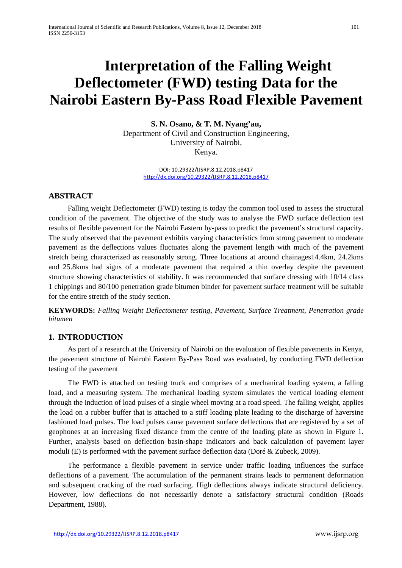# **Interpretation of the Falling Weight Deflectometer (FWD) testing Data for the Nairobi Eastern By-Pass Road Flexible Pavement**

**S. N. Osano, & T. M. Nyang'au,** Department of Civil and Construction Engineering, University of Nairobi, Kenya.

> DOI: 10.29322/IJSRP.8.12.2018.p8417 <http://dx.doi.org/10.29322/IJSRP.8.12.2018.p8417>

# **ABSTRACT**

Falling weight Deflectometer (FWD) testing is today the common tool used to assess the structural condition of the pavement. The objective of the study was to analyse the FWD surface deflection test results of flexible pavement for the Nairobi Eastern by-pass to predict the pavement's structural capacity. The study observed that the pavement exhibits varying characteristics from strong pavement to moderate pavement as the deflections values fluctuates along the pavement length with much of the pavement stretch being characterized as reasonably strong. Three locations at around chainages14.4km, 24.2kms and 25.8kms had signs of a moderate pavement that required a thin overlay despite the pavement structure showing characteristics of stability. It was recommended that surface dressing with 10/14 class 1 chippings and 80/100 penetration grade bitumen binder for pavement surface treatment will be suitable for the entire stretch of the study section.

**KEYWORDS:** *Falling Weight Deflectometer testing, Pavement, Surface Treatment, Penetration grade bitumen*

# **1. INTRODUCTION**

As part of a research at the University of Nairobi on the evaluation of flexible pavements in Kenya, the pavement structure of Nairobi Eastern By-Pass Road was evaluated, by conducting FWD deflection testing of the pavement

The FWD is attached on testing truck and comprises of a mechanical loading system, a falling load, and a measuring system. The mechanical loading system simulates the vertical loading element through the induction of load pulses of a single wheel moving at a road speed. The falling weight, applies the load on a rubber buffer that is attached to a stiff loading plate leading to the discharge of haversine fashioned load pulses. The load pulses cause pavement surface deflections that are registered by a set of geophones at an increasing fixed distance from the centre of the loading plate as shown in Figure 1. Further, analysis based on deflection basin-shape indicators and back calculation of pavement layer moduli (E) is performed with the pavement surface deflection data (Doré  $\&$  Zubeck, 2009).

The performance a flexible pavement in service under traffic loading influences the surface deflections of a pavement. The accumulation of the permanent strains leads to permanent deformation and subsequent cracking of the road surfacing. High deflections always indicate structural deficiency. However, low deflections do not necessarily denote a satisfactory structural condition (Roads Department, 1988).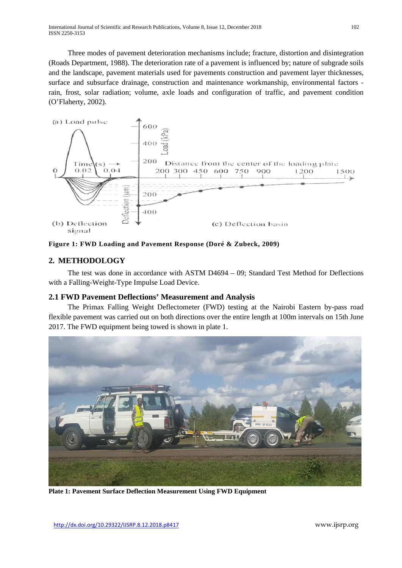International Journal of Scientific and Research Publications, Volume 8, Issue 12, December 2018 102 ISSN 2250-3153

Three modes of pavement deterioration mechanisms include; fracture, distortion and disintegration (Roads Department, 1988). The deterioration rate of a pavement is influenced by; nature of subgrade soils and the landscape, pavement materials used for pavements construction and pavement layer thicknesses, surface and subsurface drainage, construction and maintenance workmanship, environmental factors rain, frost, solar radiation; volume, axle loads and configuration of traffic, and pavement condition (O'Flaherty, 2002).





# **2. METHODOLOGY**

The test was done in accordance with ASTM D4694 – 09; Standard Test Method for Deflections with a Falling-Weight-Type Impulse Load Device.

#### **2.1 FWD Pavement Deflections' Measurement and Analysis**

The Primax Falling Weight Deflectometer (FWD) testing at the Nairobi Eastern by-pass road flexible pavement was carried out on both directions over the entire length at 100m intervals on 15th June 2017. The FWD equipment being towed is shown in plate 1.



**Plate 1: Pavement Surface Deflection Measurement Using FWD Equipment**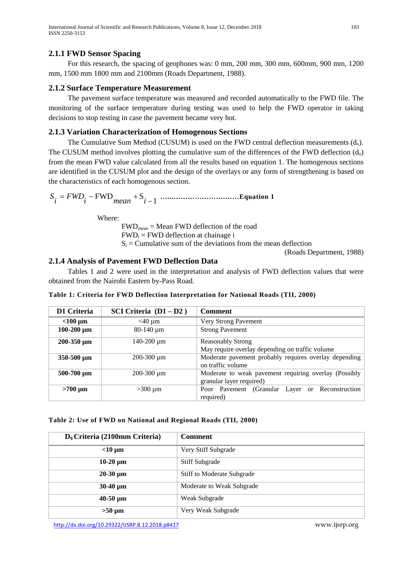# **2.1.1 FWD Sensor Spacing**

For this research, the spacing of geophones was: 0 mm, 200 mm, 300 mm, 600mm, 900 mm, 1200 mm, 1500 mm 1800 mm and 2100mm (Roads Department, 1988).

# **2.1.2 Surface Temperature Measurement**

The pavement surface temperature was measured and recorded automatically to the FWD file. The monitoring of the surface temperature during testing was used to help the FWD operator in taking decisions to stop testing in case the pavement became very hot.

# **2.1.3 Variation Characterization of Homogenous Sections**

The Cumulative Sum Method (CUSUM) is used on the FWD central deflection measurements  $(d_0)$ . The CUSUM method involves plotting the cumulative sum of the differences of the FWD deflection  $(d_0)$ from the mean FWD value calculated from all the results based on equation 1. The homogenous sections are identified in the CUSUM plot and the design of the overlays or any form of strengthening is based on the characteristics of each homogenous section.

<sup>1</sup> FWD <sup>S</sup> <sup>−</sup> <sup>=</sup> <sup>−</sup> <sup>+</sup> *<sup>i</sup> mean <sup>i</sup> FWD <sup>i</sup> S* **…...………………….……Equation 1**

Where:

 $FWD_{mean} = Mean FWD$  deflection of the road  $FWD_i = FWD$  deflection at chainage i  $S_i$  = Cumulative sum of the deviations from the mean deflection

(Roads Department, 1988)

# **2.1.4 Analysis of Pavement FWD Deflection Data**

Tables 1 and 2 were used in the interpretation and analysis of FWD deflection values that were obtained from the Nairobi Eastern by-Pass Road.

|  |  | Table 1: Criteria for FWD Deflection Interpretation for National Roads (TII, 2000) |  |  |
|--|--|------------------------------------------------------------------------------------|--|--|
|  |  |                                                                                    |  |  |

| D1 Criteria       | SCI Criteria $(D1 - D2)$ | <b>Comment</b>                                        |
|-------------------|--------------------------|-------------------------------------------------------|
| $<$ 100 µm        | $<$ 40 µm                | Very Strong Pavement                                  |
| $100-200 \mu m$   | 80-140 µm                | <b>Strong Pavement</b>                                |
| $200 - 350 \mu m$ | $140 - 200 \mu m$        | <b>Reasonably Strong</b>                              |
|                   |                          | May require overlay depending on traffic volume       |
| $350 - 500 \mu m$ | 200-300 µm               | Moderate pavement probably requires overlay depending |
|                   |                          | on traffic volume                                     |
| $500-700 \mu m$   | $200 - 300 \mu m$        | Moderate to weak pavement requiring overlay (Possibly |
|                   |                          | granular layer required)                              |
| $>700 \mu m$      | $>300 \mu m$             | Poor Pavement (Granular Layer or Reconstruction       |
|                   |                          | required)                                             |

**Table 2: Use of FWD on National and Regional Roads (TII, 2000)**

| D <sub>9</sub> Criteria (2100mm Criteria) | <b>Comment</b>                    |
|-------------------------------------------|-----------------------------------|
| $<$ 10 $\mu$ m                            | Very Stiff Subgrade               |
| $10-20 \mu m$                             | <b>Stiff Subgrade</b>             |
| $20-30 \mu m$                             | <b>Stiff to Moderate Subgrade</b> |
| $30-40 \mu m$                             | Moderate to Weak Subgrade         |
| $40-50 \mu m$                             | Weak Subgrade                     |
| $>50 \mu m$                               | Very Weak Subgrade                |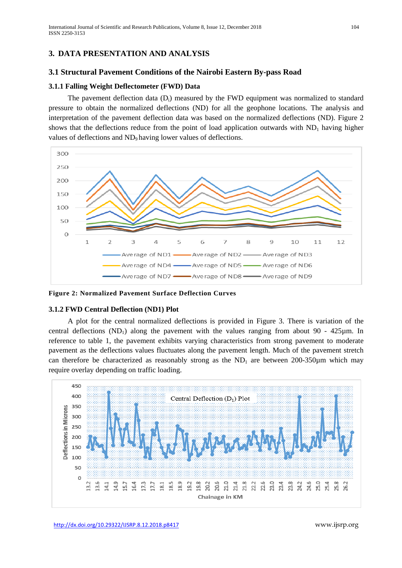# **3. DATA PRESENTATION AND ANALYSIS**

#### **3.1 Structural Pavement Conditions of the Nairobi Eastern By-pass Road**

#### **3.1.1 Falling Weight Deflectometer (FWD) Data**

The pavement deflection data  $(D_i)$  measured by the FWD equipment was normalized to standard pressure to obtain the normalized deflections (ND) for all the geophone locations. The analysis and interpretation of the pavement deflection data was based on the normalized deflections (ND). Figure 2 shows that the deflections reduce from the point of load application outwards with  $ND_1$  having higher values of deflections and ND<sub>9</sub> having lower values of deflections.



**Figure 2: Normalized Pavement Surface Deflection Curves**

#### **3.1.2 FWD Central Deflection (ND1) Plot**

A plot for the central normalized deflections is provided in Figure 3. There is variation of the central deflections  $(ND_1)$  along the pavement with the values ranging from about 90 - 425 $\mu$ m. In reference to table 1, the pavement exhibits varying characteristics from strong pavement to moderate pavement as the deflections values fluctuates along the pavement length. Much of the pavement stretch can therefore be characterized as reasonably strong as the  $ND_1$  are between 200-350 $\mu$ m which may require overlay depending on traffic loading.

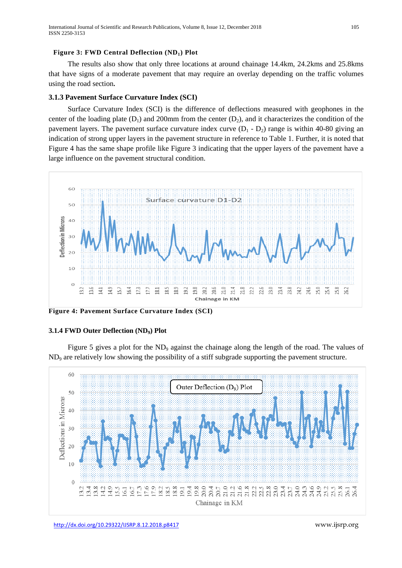#### Figure 3: FWD Central Deflection (ND<sub>1</sub>) Plot

The results also show that only three locations at around chainage 14.4km, 24.2kms and 25.8kms that have signs of a moderate pavement that may require an overlay depending on the traffic volumes using the road section**.**

#### **3.1.3 Pavement Surface Curvature Index (SCI)**

Surface Curvature Index (SCI) is the difference of deflections measured with geophones in the center of the loading plate  $(D_1)$  and 200mm from the center  $(D_2)$ , and it characterizes the condition of the pavement layers. The pavement surface curvature index curve  $(D_1 - D_2)$  range is within 40-80 giving an indication of strong upper layers in the pavement structure in reference to Table 1. Further, it is noted that Figure 4 has the same shape profile like Figure 3 indicating that the upper layers of the pavement have a large influence on the pavement structural condition.



**Figure 4: Pavement Surface Curvature Index (SCI)**

#### **3.1.4 FWD Outer Deflection (ND9) Plot**

Figure 5 gives a plot for the ND<sub>9</sub> against the chainage along the length of the road. The values of ND9 are relatively low showing the possibility of a stiff subgrade supporting the pavement structure.